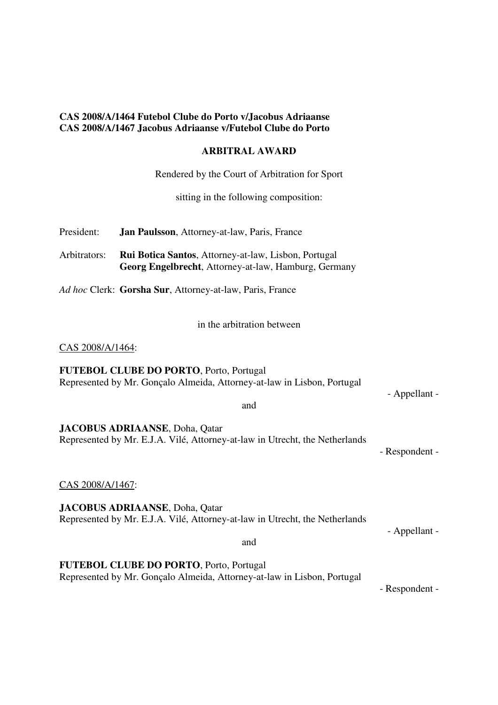### **CAS 2008/A/1464 Futebol Clube do Porto v/Jacobus Adriaanse CAS 2008/A/1467 Jacobus Adriaanse v/Futebol Clube do Porto**

#### **ARBITRAL AWARD**

Rendered by the Court of Arbitration for Sport

sitting in the following composition:

| President:   | <b>Jan Paulsson</b> , Attorney-at-law, Paris, France        |
|--------------|-------------------------------------------------------------|
| Arbitrators: | <b>Rui Botica Santos, Attorney-at-law, Lisbon, Portugal</b> |

 **Georg Engelbrecht**, Attorney-at-law, Hamburg, Germany

*Ad hoc* Clerk: **Gorsha Sur**, Attorney-at-law, Paris, France

in the arbitration between

CAS 2008/A/1464:

**FUTEBOL CLUBE DO PORTO**, Porto, Portugal Represented by Mr. Gonçalo Almeida, Attorney-at-law in Lisbon, Portugal

- Appellant -

**JACOBUS ADRIAANSE**, Doha, Qatar Represented by Mr. E.J.A. Vilé, Attorney-at-law in Utrecht, the Netherlands

- Respondent -

CAS 2008/A/1467:

**JACOBUS ADRIAANSE**, Doha, Qatar Represented by Mr. E.J.A. Vilé, Attorney-at-law in Utrecht, the Netherlands

- Appellant -

and

**FUTEBOL CLUBE DO PORTO**, Porto, Portugal Represented by Mr. Gonçalo Almeida, Attorney-at-law in Lisbon, Portugal

- Respondent -

and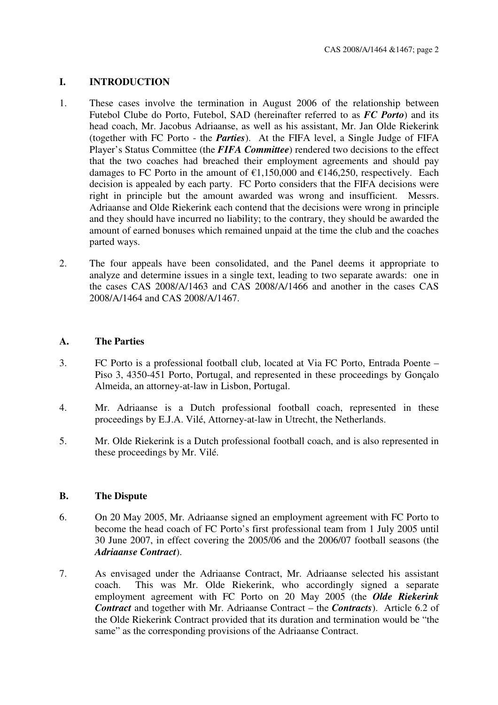# **I. INTRODUCTION**

- 1. These cases involve the termination in August 2006 of the relationship between Futebol Clube do Porto, Futebol, SAD (hereinafter referred to as *FC Porto*) and its head coach, Mr. Jacobus Adriaanse, as well as his assistant, Mr. Jan Olde Riekerink (together with FC Porto - the *Parties*). At the FIFA level, a Single Judge of FIFA Player's Status Committee (the **FIFA Committee**) rendered two decisions to the effect that the two coaches had breached their employment agreements and should pay damages to FC Porto in the amount of  $\epsilon$ 1,150,000 and  $\epsilon$ 146,250, respectively. Each decision is appealed by each party. FC Porto considers that the FIFA decisions were right in principle but the amount awarded was wrong and insufficient. Messrs. Adriaanse and Olde Riekerink each contend that the decisions were wrong in principle and they should have incurred no liability; to the contrary, they should be awarded the amount of earned bonuses which remained unpaid at the time the club and the coaches parted ways.
- 2. The four appeals have been consolidated, and the Panel deems it appropriate to analyze and determine issues in a single text, leading to two separate awards: one in the cases CAS 2008/A/1463 and CAS 2008/A/1466 and another in the cases CAS 2008/A/1464 and CAS 2008/A/1467.

### **A. The Parties**

- 3. FC Porto is a professional football club, located at Via FC Porto, Entrada Poente Piso 3, 4350-451 Porto, Portugal, and represented in these proceedings by Gonçalo Almeida, an attorney-at-law in Lisbon, Portugal.
- 4. Mr. Adriaanse is a Dutch professional football coach, represented in these proceedings by E.J.A. Vilé, Attorney-at-law in Utrecht, the Netherlands.
- 5. Mr. Olde Riekerink is a Dutch professional football coach, and is also represented in these proceedings by Mr. Vilé.

### **B. The Dispute**

- 6. On 20 May 2005, Mr. Adriaanse signed an employment agreement with FC Porto to become the head coach of FC Porto's first professional team from 1 July 2005 until 30 June 2007, in effect covering the 2005/06 and the 2006/07 football seasons (the *Adriaanse Contract*).
- 7. As envisaged under the Adriaanse Contract, Mr. Adriaanse selected his assistant coach. This was Mr. Olde Riekerink, who accordingly signed a separate employment agreement with FC Porto on 20 May 2005 (the *Olde Riekerink Contract* and together with Mr. Adriaanse Contract – the *Contracts*). Article 6.2 of the Olde Riekerink Contract provided that its duration and termination would be "the same" as the corresponding provisions of the Adriaanse Contract.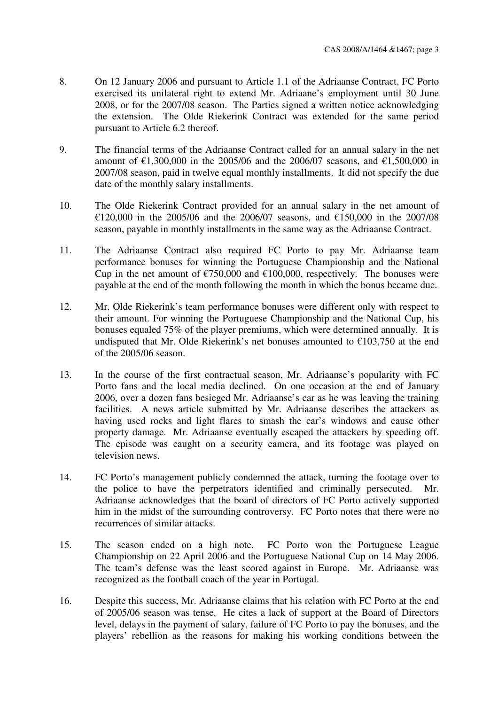- 8. On 12 January 2006 and pursuant to Article 1.1 of the Adriaanse Contract, FC Porto exercised its unilateral right to extend Mr. Adriaane's employment until 30 June 2008, or for the 2007/08 season. The Parties signed a written notice acknowledging the extension. The Olde Riekerink Contract was extended for the same period pursuant to Article 6.2 thereof.
- 9. The financial terms of the Adriaanse Contract called for an annual salary in the net amount of €1,300,000 in the 2005/06 and the 2006/07 seasons, and €1,500,000 in 2007/08 season, paid in twelve equal monthly installments. It did not specify the due date of the monthly salary installments.
- 10. The Olde Riekerink Contract provided for an annual salary in the net amount of €120,000 in the 2005/06 and the 2006/07 seasons, and €150,000 in the 2007/08 season, payable in monthly installments in the same way as the Adriaanse Contract.
- 11. The Adriaanse Contract also required FC Porto to pay Mr. Adriaanse team performance bonuses for winning the Portuguese Championship and the National Cup in the net amount of  $\epsilon$ 750,000 and  $\epsilon$ 100,000, respectively. The bonuses were payable at the end of the month following the month in which the bonus became due.
- 12. Mr. Olde Riekerink's team performance bonuses were different only with respect to their amount. For winning the Portuguese Championship and the National Cup, his bonuses equaled 75% of the player premiums, which were determined annually. It is undisputed that Mr. Olde Riekerink's net bonuses amounted to  $\epsilon$ 103,750 at the end of the 2005/06 season.
- 13. In the course of the first contractual season, Mr. Adriaanse's popularity with FC Porto fans and the local media declined. On one occasion at the end of January 2006, over a dozen fans besieged Mr. Adriaanse's car as he was leaving the training facilities. A news article submitted by Mr. Adriaanse describes the attackers as having used rocks and light flares to smash the car's windows and cause other property damage. Mr. Adriaanse eventually escaped the attackers by speeding off. The episode was caught on a security camera, and its footage was played on television news.
- 14. FC Porto's management publicly condemned the attack, turning the footage over to the police to have the perpetrators identified and criminally persecuted. Mr. Adriaanse acknowledges that the board of directors of FC Porto actively supported him in the midst of the surrounding controversy. FC Porto notes that there were no recurrences of similar attacks.
- 15. The season ended on a high note. FC Porto won the Portuguese League Championship on 22 April 2006 and the Portuguese National Cup on 14 May 2006. The team's defense was the least scored against in Europe. Mr. Adriaanse was recognized as the football coach of the year in Portugal.
- 16. Despite this success, Mr. Adriaanse claims that his relation with FC Porto at the end of 2005/06 season was tense. He cites a lack of support at the Board of Directors level, delays in the payment of salary, failure of FC Porto to pay the bonuses, and the players' rebellion as the reasons for making his working conditions between the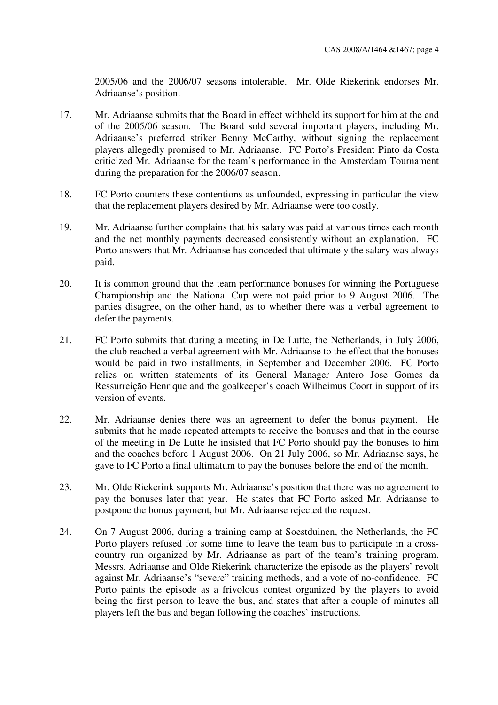2005/06 and the 2006/07 seasons intolerable. Mr. Olde Riekerink endorses Mr. Adriaanse's position.

- 17. Mr. Adriaanse submits that the Board in effect withheld its support for him at the end of the 2005/06 season. The Board sold several important players, including Mr. Adriaanse's preferred striker Benny McCarthy, without signing the replacement players allegedly promised to Mr. Adriaanse. FC Porto's President Pinto da Costa criticized Mr. Adriaanse for the team's performance in the Amsterdam Tournament during the preparation for the 2006/07 season.
- 18. FC Porto counters these contentions as unfounded, expressing in particular the view that the replacement players desired by Mr. Adriaanse were too costly.
- 19. Mr. Adriaanse further complains that his salary was paid at various times each month and the net monthly payments decreased consistently without an explanation. FC Porto answers that Mr. Adriaanse has conceded that ultimately the salary was always paid.
- 20. It is common ground that the team performance bonuses for winning the Portuguese Championship and the National Cup were not paid prior to 9 August 2006. The parties disagree, on the other hand, as to whether there was a verbal agreement to defer the payments.
- 21. FC Porto submits that during a meeting in De Lutte, the Netherlands, in July 2006, the club reached a verbal agreement with Mr. Adriaanse to the effect that the bonuses would be paid in two installments, in September and December 2006. FC Porto relies on written statements of its General Manager Antero Jose Gomes da Ressurreição Henrique and the goalkeeper's coach Wilheimus Coort in support of its version of events.
- 22. Mr. Adriaanse denies there was an agreement to defer the bonus payment. He submits that he made repeated attempts to receive the bonuses and that in the course of the meeting in De Lutte he insisted that FC Porto should pay the bonuses to him and the coaches before 1 August 2006. On 21 July 2006, so Mr. Adriaanse says, he gave to FC Porto a final ultimatum to pay the bonuses before the end of the month.
- 23. Mr. Olde Riekerink supports Mr. Adriaanse's position that there was no agreement to pay the bonuses later that year. He states that FC Porto asked Mr. Adriaanse to postpone the bonus payment, but Mr. Adriaanse rejected the request.
- 24. On 7 August 2006, during a training camp at Soestduinen, the Netherlands, the FC Porto players refused for some time to leave the team bus to participate in a crosscountry run organized by Mr. Adriaanse as part of the team's training program. Messrs. Adriaanse and Olde Riekerink characterize the episode as the players' revolt against Mr. Adriaanse's "severe" training methods, and a vote of no-confidence. FC Porto paints the episode as a frivolous contest organized by the players to avoid being the first person to leave the bus, and states that after a couple of minutes all players left the bus and began following the coaches' instructions.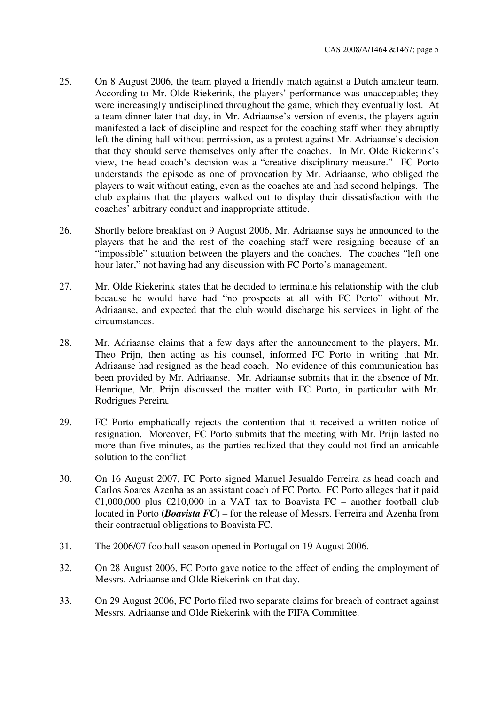- 25. On 8 August 2006, the team played a friendly match against a Dutch amateur team. According to Mr. Olde Riekerink, the players' performance was unacceptable; they were increasingly undisciplined throughout the game, which they eventually lost. At a team dinner later that day, in Mr. Adriaanse's version of events, the players again manifested a lack of discipline and respect for the coaching staff when they abruptly left the dining hall without permission, as a protest against Mr. Adriaanse's decision that they should serve themselves only after the coaches. In Mr. Olde Riekerink's view, the head coach's decision was a "creative disciplinary measure." FC Porto understands the episode as one of provocation by Mr. Adriaanse, who obliged the players to wait without eating, even as the coaches ate and had second helpings. The club explains that the players walked out to display their dissatisfaction with the coaches' arbitrary conduct and inappropriate attitude.
- 26. Shortly before breakfast on 9 August 2006, Mr. Adriaanse says he announced to the players that he and the rest of the coaching staff were resigning because of an "impossible" situation between the players and the coaches. The coaches "left one hour later," not having had any discussion with FC Porto's management.
- 27. Mr. Olde Riekerink states that he decided to terminate his relationship with the club because he would have had "no prospects at all with FC Porto" without Mr. Adriaanse, and expected that the club would discharge his services in light of the circumstances.
- 28. Mr. Adriaanse claims that a few days after the announcement to the players, Mr. Theo Prijn, then acting as his counsel, informed FC Porto in writing that Mr. Adriaanse had resigned as the head coach. No evidence of this communication has been provided by Mr. Adriaanse. Mr. Adriaanse submits that in the absence of Mr. Henrique, Mr. Prijn discussed the matter with FC Porto, in particular with Mr. Rodrigues Pereira*.*
- 29. FC Porto emphatically rejects the contention that it received a written notice of resignation. Moreover, FC Porto submits that the meeting with Mr. Prijn lasted no more than five minutes, as the parties realized that they could not find an amicable solution to the conflict.
- 30. On 16 August 2007, FC Porto signed Manuel Jesualdo Ferreira as head coach and Carlos Soares Azenha as an assistant coach of FC Porto. FC Porto alleges that it paid €1,000,000 plus €210,000 in a VAT tax to Boavista FC – another football club located in Porto (*Boavista FC*) – for the release of Messrs. Ferreira and Azenha from their contractual obligations to Boavista FC.
- 31. The 2006/07 football season opened in Portugal on 19 August 2006.
- 32. On 28 August 2006, FC Porto gave notice to the effect of ending the employment of Messrs. Adriaanse and Olde Riekerink on that day.
- 33. On 29 August 2006, FC Porto filed two separate claims for breach of contract against Messrs. Adriaanse and Olde Riekerink with the FIFA Committee.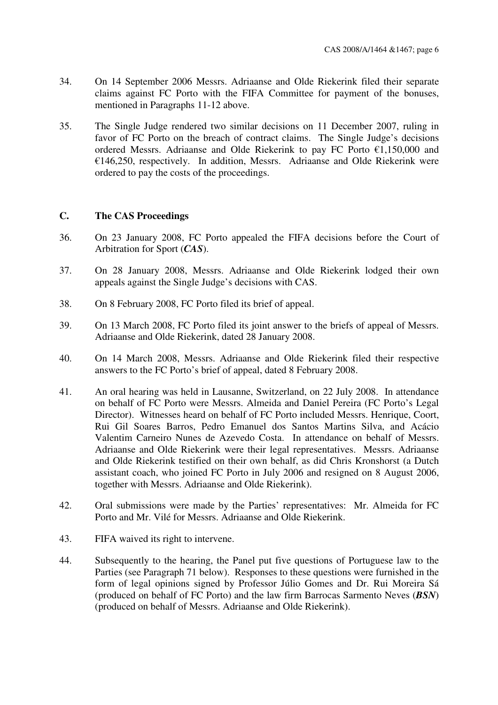- 34. On 14 September 2006 Messrs. Adriaanse and Olde Riekerink filed their separate claims against FC Porto with the FIFA Committee for payment of the bonuses, mentioned in Paragraphs 11-12 above.
- 35. The Single Judge rendered two similar decisions on 11 December 2007, ruling in favor of FC Porto on the breach of contract claims. The Single Judge's decisions ordered Messrs. Adriaanse and Olde Riekerink to pay FC Porto €1,150,000 and  $€146.250$ , respectively. In addition, Messrs. Adriaanse and Olde Riekerink were ordered to pay the costs of the proceedings.

## **C. The CAS Proceedings**

- 36. On 23 January 2008, FC Porto appealed the FIFA decisions before the Court of Arbitration for Sport (*CAS*).
- 37. On 28 January 2008, Messrs. Adriaanse and Olde Riekerink lodged their own appeals against the Single Judge's decisions with CAS.
- 38. On 8 February 2008, FC Porto filed its brief of appeal.
- 39. On 13 March 2008, FC Porto filed its joint answer to the briefs of appeal of Messrs. Adriaanse and Olde Riekerink, dated 28 January 2008.
- 40. On 14 March 2008, Messrs. Adriaanse and Olde Riekerink filed their respective answers to the FC Porto's brief of appeal, dated 8 February 2008.
- 41. An oral hearing was held in Lausanne, Switzerland, on 22 July 2008. In attendance on behalf of FC Porto were Messrs. Almeida and Daniel Pereira (FC Porto's Legal Director). Witnesses heard on behalf of FC Porto included Messrs. Henrique, Coort, Rui Gil Soares Barros, Pedro Emanuel dos Santos Martins Silva, and Acácio Valentim Carneiro Nunes de Azevedo Costa. In attendance on behalf of Messrs. Adriaanse and Olde Riekerink were their legal representatives. Messrs. Adriaanse and Olde Riekerink testified on their own behalf, as did Chris Kronshorst (a Dutch assistant coach, who joined FC Porto in July 2006 and resigned on 8 August 2006, together with Messrs. Adriaanse and Olde Riekerink).
- 42. Oral submissions were made by the Parties' representatives: Mr. Almeida for FC Porto and Mr. Vilé for Messrs. Adriaanse and Olde Riekerink.
- 43. FIFA waived its right to intervene.
- 44. Subsequently to the hearing, the Panel put five questions of Portuguese law to the Parties (see Paragraph 71 below). Responses to these questions were furnished in the form of legal opinions signed by Professor Júlio Gomes and Dr. Rui Moreira Sá (produced on behalf of FC Porto) and the law firm Barrocas Sarmento Neves (*BSN*) (produced on behalf of Messrs. Adriaanse and Olde Riekerink).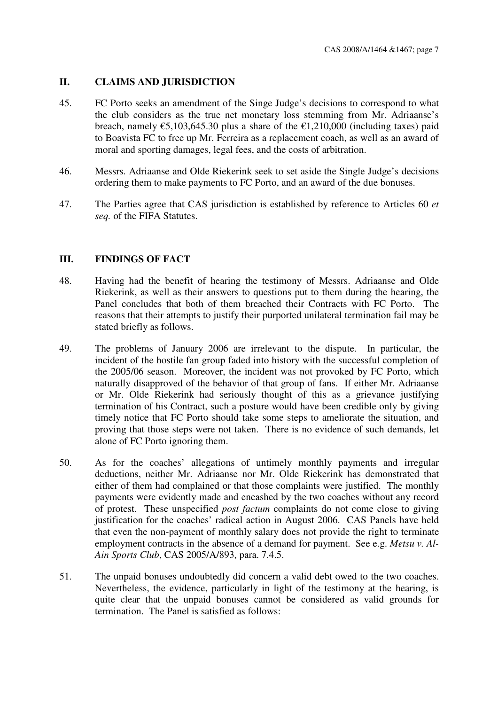## **II. CLAIMS AND JURISDICTION**

- 45. FC Porto seeks an amendment of the Singe Judge's decisions to correspond to what the club considers as the true net monetary loss stemming from Mr. Adriaanse's breach, namely  $\epsilon$ 5,103,645,30 plus a share of the  $\epsilon$ 1,210,000 (including taxes) paid to Boavista FC to free up Mr. Ferreira as a replacement coach, as well as an award of moral and sporting damages, legal fees, and the costs of arbitration.
- 46. Messrs. Adriaanse and Olde Riekerink seek to set aside the Single Judge's decisions ordering them to make payments to FC Porto, and an award of the due bonuses.
- 47. The Parties agree that CAS jurisdiction is established by reference to Articles 60 *et seq.* of the FIFA Statutes.

## **III. FINDINGS OF FACT**

- 48. Having had the benefit of hearing the testimony of Messrs. Adriaanse and Olde Riekerink, as well as their answers to questions put to them during the hearing, the Panel concludes that both of them breached their Contracts with FC Porto. The reasons that their attempts to justify their purported unilateral termination fail may be stated briefly as follows.
- 49. The problems of January 2006 are irrelevant to the dispute. In particular, the incident of the hostile fan group faded into history with the successful completion of the 2005/06 season. Moreover, the incident was not provoked by FC Porto, which naturally disapproved of the behavior of that group of fans. If either Mr. Adriaanse or Mr. Olde Riekerink had seriously thought of this as a grievance justifying termination of his Contract, such a posture would have been credible only by giving timely notice that FC Porto should take some steps to ameliorate the situation, and proving that those steps were not taken. There is no evidence of such demands, let alone of FC Porto ignoring them.
- 50. As for the coaches' allegations of untimely monthly payments and irregular deductions, neither Mr. Adriaanse nor Mr. Olde Riekerink has demonstrated that either of them had complained or that those complaints were justified. The monthly payments were evidently made and encashed by the two coaches without any record of protest. These unspecified *post factum* complaints do not come close to giving justification for the coaches' radical action in August 2006. CAS Panels have held that even the non-payment of monthly salary does not provide the right to terminate employment contracts in the absence of a demand for payment. See e.g. *Metsu v. Al-Ain Sports Club*, CAS 2005/A/893, para. 7.4.5.
- 51. The unpaid bonuses undoubtedly did concern a valid debt owed to the two coaches. Nevertheless, the evidence, particularly in light of the testimony at the hearing, is quite clear that the unpaid bonuses cannot be considered as valid grounds for termination. The Panel is satisfied as follows: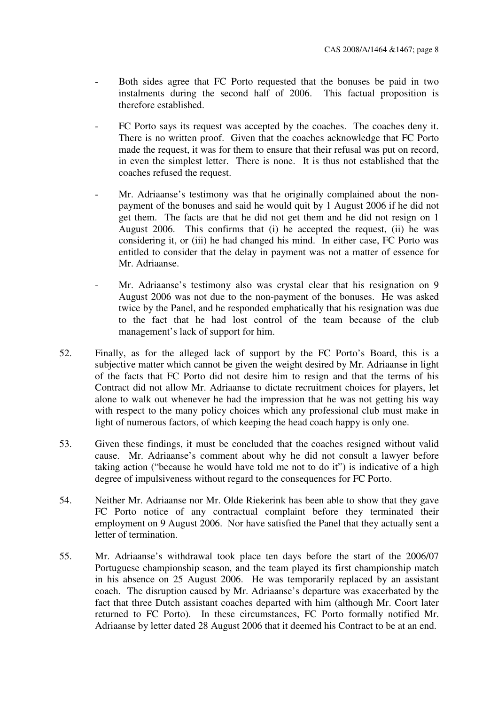- Both sides agree that FC Porto requested that the bonuses be paid in two instalments during the second half of 2006. This factual proposition is therefore established.
- FC Porto says its request was accepted by the coaches. The coaches deny it. There is no written proof. Given that the coaches acknowledge that FC Porto made the request, it was for them to ensure that their refusal was put on record, in even the simplest letter. There is none. It is thus not established that the coaches refused the request.
- Mr. Adriaanse's testimony was that he originally complained about the nonpayment of the bonuses and said he would quit by 1 August 2006 if he did not get them. The facts are that he did not get them and he did not resign on 1 August 2006. This confirms that (i) he accepted the request, (ii) he was considering it, or (iii) he had changed his mind. In either case, FC Porto was entitled to consider that the delay in payment was not a matter of essence for Mr. Adriaanse.
- Mr. Adriaanse's testimony also was crystal clear that his resignation on 9 August 2006 was not due to the non-payment of the bonuses. He was asked twice by the Panel, and he responded emphatically that his resignation was due to the fact that he had lost control of the team because of the club management's lack of support for him.
- 52. Finally, as for the alleged lack of support by the FC Porto's Board, this is a subjective matter which cannot be given the weight desired by Mr. Adriaanse in light of the facts that FC Porto did not desire him to resign and that the terms of his Contract did not allow Mr. Adriaanse to dictate recruitment choices for players, let alone to walk out whenever he had the impression that he was not getting his way with respect to the many policy choices which any professional club must make in light of numerous factors, of which keeping the head coach happy is only one.
- 53. Given these findings, it must be concluded that the coaches resigned without valid cause. Mr. Adriaanse's comment about why he did not consult a lawyer before taking action ("because he would have told me not to do it") is indicative of a high degree of impulsiveness without regard to the consequences for FC Porto.
- 54. Neither Mr. Adriaanse nor Mr. Olde Riekerink has been able to show that they gave FC Porto notice of any contractual complaint before they terminated their employment on 9 August 2006. Nor have satisfied the Panel that they actually sent a letter of termination.
- 55. Mr. Adriaanse's withdrawal took place ten days before the start of the 2006/07 Portuguese championship season, and the team played its first championship match in his absence on 25 August 2006. He was temporarily replaced by an assistant coach. The disruption caused by Mr. Adriaanse's departure was exacerbated by the fact that three Dutch assistant coaches departed with him (although Mr. Coort later returned to FC Porto). In these circumstances, FC Porto formally notified Mr. Adriaanse by letter dated 28 August 2006 that it deemed his Contract to be at an end.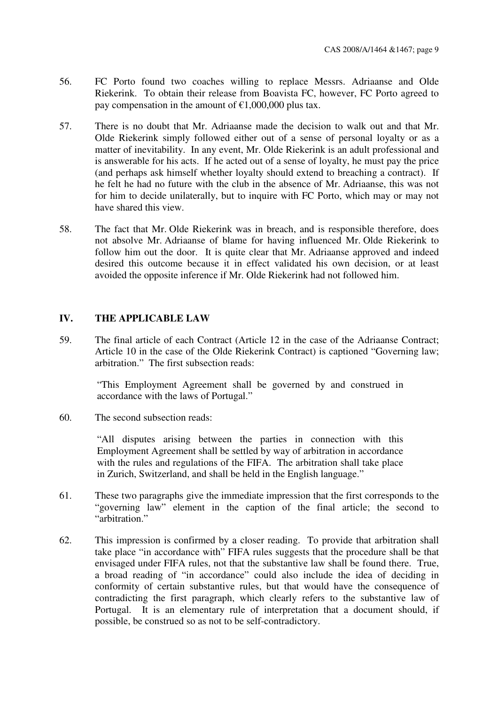- 56. FC Porto found two coaches willing to replace Messrs. Adriaanse and Olde Riekerink. To obtain their release from Boavista FC, however, FC Porto agreed to pay compensation in the amount of  $\epsilon$ 1,000,000 plus tax.
- 57. There is no doubt that Mr. Adriaanse made the decision to walk out and that Mr. Olde Riekerink simply followed either out of a sense of personal loyalty or as a matter of inevitability. In any event, Mr. Olde Riekerink is an adult professional and is answerable for his acts. If he acted out of a sense of loyalty, he must pay the price (and perhaps ask himself whether loyalty should extend to breaching a contract). If he felt he had no future with the club in the absence of Mr. Adriaanse, this was not for him to decide unilaterally, but to inquire with FC Porto, which may or may not have shared this view.
- 58. The fact that Mr. Olde Riekerink was in breach, and is responsible therefore, does not absolve Mr. Adriaanse of blame for having influenced Mr. Olde Riekerink to follow him out the door. It is quite clear that Mr. Adriaanse approved and indeed desired this outcome because it in effect validated his own decision, or at least avoided the opposite inference if Mr. Olde Riekerink had not followed him.

### **IV. THE APPLICABLE LAW**

59. The final article of each Contract (Article 12 in the case of the Adriaanse Contract; Article 10 in the case of the Olde Riekerink Contract) is captioned "Governing law; arbitration." The first subsection reads:

"This Employment Agreement shall be governed by and construed in accordance with the laws of Portugal."

60. The second subsection reads:

"All disputes arising between the parties in connection with this Employment Agreement shall be settled by way of arbitration in accordance with the rules and regulations of the FIFA. The arbitration shall take place in Zurich, Switzerland, and shall be held in the English language."

- 61. These two paragraphs give the immediate impression that the first corresponds to the "governing law" element in the caption of the final article; the second to "arbitration."
- 62. This impression is confirmed by a closer reading. To provide that arbitration shall take place "in accordance with" FIFA rules suggests that the procedure shall be that envisaged under FIFA rules, not that the substantive law shall be found there. True, a broad reading of "in accordance" could also include the idea of deciding in conformity of certain substantive rules, but that would have the consequence of contradicting the first paragraph, which clearly refers to the substantive law of Portugal. It is an elementary rule of interpretation that a document should, if possible, be construed so as not to be self-contradictory.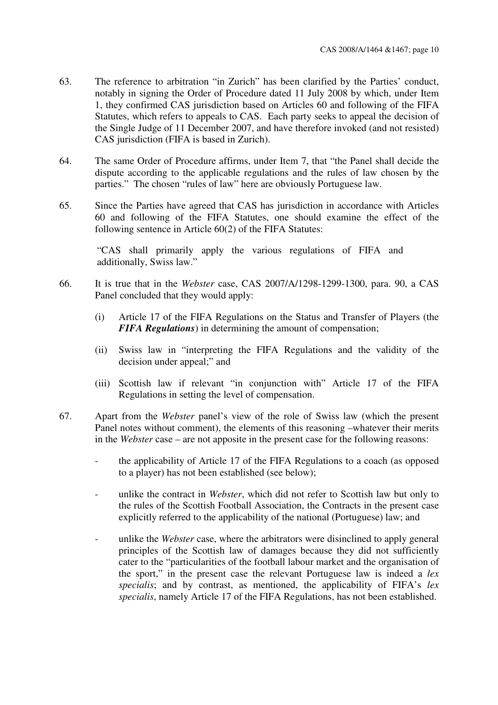- 63. The reference to arbitration "in Zurich" has been clarified by the Parties' conduct, notably in signing the Order of Procedure dated 11 July 2008 by which, under Item 1, they confirmed CAS jurisdiction based on Articles 60 and following of the FIFA Statutes, which refers to appeals to CAS. Each party seeks to appeal the decision of the Single Judge of 11 December 2007, and have therefore invoked (and not resisted) CAS jurisdiction (FIFA is based in Zurich).
- 64. The same Order of Procedure affirms, under Item 7, that "the Panel shall decide the dispute according to the applicable regulations and the rules of law chosen by the parties." The chosen "rules of law" here are obviously Portuguese law.
- 65. Since the Parties have agreed that CAS has jurisdiction in accordance with Articles 60 and following of the FIFA Statutes, one should examine the effect of the following sentence in Article 60(2) of the FIFA Statutes:

"CAS shall primarily apply the various regulations of FIFA and additionally, Swiss law."

- 66. It is true that in the *Webster* case, CAS 2007/A/1298-1299-1300, para. 90, a CAS Panel concluded that they would apply:
	- (i) Article 17 of the FIFA Regulations on the Status and Transfer of Players (the *FIFA Regulations*) in determining the amount of compensation;
	- (ii) Swiss law in "interpreting the FIFA Regulations and the validity of the decision under appeal;" and
	- (iii) Scottish law if relevant "in conjunction with" Article 17 of the FIFA Regulations in setting the level of compensation.
- 67. Apart from the *Webster* panel's view of the role of Swiss law (which the present Panel notes without comment), the elements of this reasoning –whatever their merits in the *Webster* case – are not apposite in the present case for the following reasons:
	- the applicability of Article 17 of the FIFA Regulations to a coach (as opposed to a player) has not been established (see below);
	- unlike the contract in *Webster*, which did not refer to Scottish law but only to the rules of the Scottish Football Association, the Contracts in the present case explicitly referred to the applicability of the national (Portuguese) law; and
	- unlike the *Webster* case, where the arbitrators were disinclined to apply general principles of the Scottish law of damages because they did not sufficiently cater to the "particularities of the football labour market and the organisation of the sport," in the present case the relevant Portuguese law is indeed a *lex specialis*; and by contrast, as mentioned, the applicability of FIFA's *lex specialis*, namely Article 17 of the FIFA Regulations, has not been established.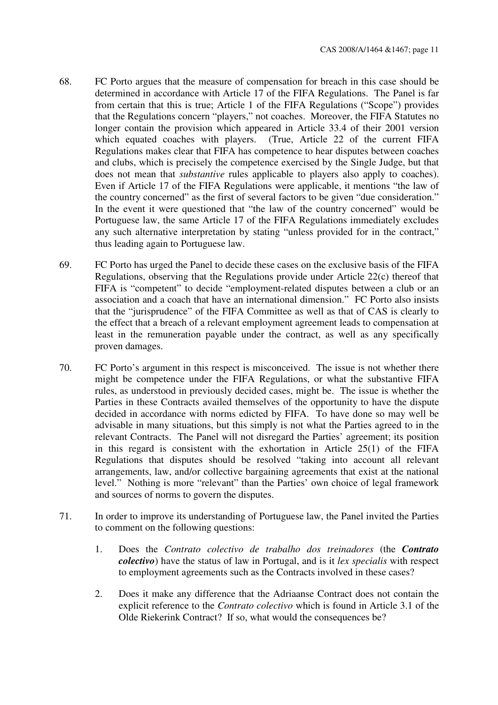- 68. FC Porto argues that the measure of compensation for breach in this case should be determined in accordance with Article 17 of the FIFA Regulations. The Panel is far from certain that this is true; Article 1 of the FIFA Regulations ("Scope") provides that the Regulations concern "players," not coaches. Moreover, the FIFA Statutes no longer contain the provision which appeared in Article 33.4 of their 2001 version which equated coaches with players. (True, Article 22 of the current FIFA Regulations makes clear that FIFA has competence to hear disputes between coaches and clubs, which is precisely the competence exercised by the Single Judge, but that does not mean that *substantive* rules applicable to players also apply to coaches). Even if Article 17 of the FIFA Regulations were applicable, it mentions "the law of the country concerned" as the first of several factors to be given "due consideration." In the event it were questioned that "the law of the country concerned" would be Portuguese law, the same Article 17 of the FIFA Regulations immediately excludes any such alternative interpretation by stating "unless provided for in the contract," thus leading again to Portuguese law.
- 69. FC Porto has urged the Panel to decide these cases on the exclusive basis of the FIFA Regulations, observing that the Regulations provide under Article 22(c) thereof that FIFA is "competent" to decide "employment-related disputes between a club or an association and a coach that have an international dimension." FC Porto also insists that the "jurisprudence" of the FIFA Committee as well as that of CAS is clearly to the effect that a breach of a relevant employment agreement leads to compensation at least in the remuneration payable under the contract, as well as any specifically proven damages.
- 70. FC Porto's argument in this respect is misconceived. The issue is not whether there might be competence under the FIFA Regulations, or what the substantive FIFA rules, as understood in previously decided cases, might be. The issue is whether the Parties in these Contracts availed themselves of the opportunity to have the dispute decided in accordance with norms edicted by FIFA. To have done so may well be advisable in many situations, but this simply is not what the Parties agreed to in the relevant Contracts. The Panel will not disregard the Parties' agreement; its position in this regard is consistent with the exhortation in Article 25(1) of the FIFA Regulations that disputes should be resolved "taking into account all relevant arrangements, law, and/or collective bargaining agreements that exist at the national level." Nothing is more "relevant" than the Parties' own choice of legal framework and sources of norms to govern the disputes.
- 71. In order to improve its understanding of Portuguese law, the Panel invited the Parties to comment on the following questions:
	- 1. Does the *Contrato colectivo de trabalho dos treinadores* (the *Contrato colectivo*) have the status of law in Portugal, and is it *lex specialis* with respect to employment agreements such as the Contracts involved in these cases?
	- 2. Does it make any difference that the Adriaanse Contract does not contain the explicit reference to the *Contrato colectivo* which is found in Article 3.1 of the Olde Riekerink Contract? If so, what would the consequences be?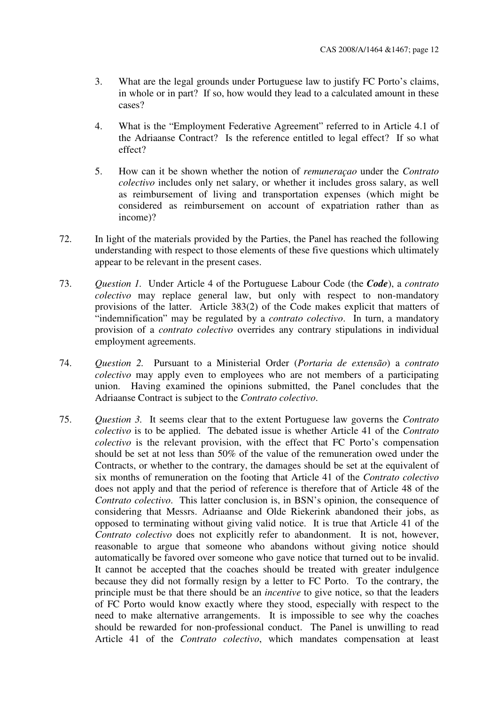- 3. What are the legal grounds under Portuguese law to justify FC Porto's claims, in whole or in part? If so, how would they lead to a calculated amount in these cases?
- 4. What is the "Employment Federative Agreement" referred to in Article 4.1 of the Adriaanse Contract? Is the reference entitled to legal effect? If so what effect?
- 5. How can it be shown whether the notion of *remuneraçao* under the *Contrato colectivo* includes only net salary, or whether it includes gross salary, as well as reimbursement of living and transportation expenses (which might be considered as reimbursement on account of expatriation rather than as income)?
- 72. In light of the materials provided by the Parties, the Panel has reached the following understanding with respect to those elements of these five questions which ultimately appear to be relevant in the present cases.
- 73. *Question 1.* Under Article 4 of the Portuguese Labour Code (the *Code*), a *contrato colectivo* may replace general law, but only with respect to non-mandatory provisions of the latter. Article 383(2) of the Code makes explicit that matters of "indemnification" may be regulated by a *contrato colectivo*. In turn, a mandatory provision of a *contrato colectivo* overrides any contrary stipulations in individual employment agreements.
- 74. *Question 2.* Pursuant to a Ministerial Order (*Portaria de extensão*) a *contrato colectivo* may apply even to employees who are not members of a participating union. Having examined the opinions submitted, the Panel concludes that the Adriaanse Contract is subject to the *Contrato colectivo*.
- 75. *Question 3.* It seems clear that to the extent Portuguese law governs the *Contrato colectivo* is to be applied. The debated issue is whether Article 41 of the *Contrato colectivo* is the relevant provision, with the effect that FC Porto's compensation should be set at not less than 50% of the value of the remuneration owed under the Contracts, or whether to the contrary, the damages should be set at the equivalent of six months of remuneration on the footing that Article 41 of the *Contrato colectivo* does not apply and that the period of reference is therefore that of Article 48 of the *Contrato colectivo*. This latter conclusion is, in BSN's opinion, the consequence of considering that Messrs. Adriaanse and Olde Riekerink abandoned their jobs, as opposed to terminating without giving valid notice. It is true that Article 41 of the *Contrato colectivo* does not explicitly refer to abandonment. It is not, however, reasonable to argue that someone who abandons without giving notice should automatically be favored over someone who gave notice that turned out to be invalid. It cannot be accepted that the coaches should be treated with greater indulgence because they did not formally resign by a letter to FC Porto. To the contrary, the principle must be that there should be an *incentive* to give notice, so that the leaders of FC Porto would know exactly where they stood, especially with respect to the need to make alternative arrangements. It is impossible to see why the coaches should be rewarded for non-professional conduct. The Panel is unwilling to read Article 41 of the *Contrato colectivo*, which mandates compensation at least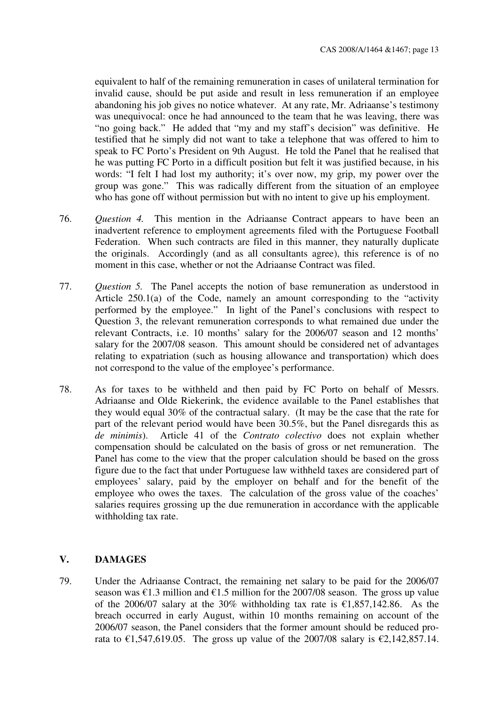equivalent to half of the remaining remuneration in cases of unilateral termination for invalid cause, should be put aside and result in less remuneration if an employee abandoning his job gives no notice whatever. At any rate, Mr. Adriaanse's testimony was unequivocal: once he had announced to the team that he was leaving, there was "no going back." He added that "my and my staff's decision" was definitive. He testified that he simply did not want to take a telephone that was offered to him to speak to FC Porto's President on 9th August. He told the Panel that he realised that he was putting FC Porto in a difficult position but felt it was justified because, in his words: "I felt I had lost my authority; it's over now, my grip, my power over the group was gone." This was radically different from the situation of an employee who has gone off without permission but with no intent to give up his employment.

- 76. *Question 4.* This mention in the Adriaanse Contract appears to have been an inadvertent reference to employment agreements filed with the Portuguese Football Federation. When such contracts are filed in this manner, they naturally duplicate the originals. Accordingly (and as all consultants agree), this reference is of no moment in this case, whether or not the Adriaanse Contract was filed.
- 77. *Question 5.* The Panel accepts the notion of base remuneration as understood in Article 250.1(a) of the Code, namely an amount corresponding to the "activity performed by the employee." In light of the Panel's conclusions with respect to Question 3, the relevant remuneration corresponds to what remained due under the relevant Contracts, i.e. 10 months' salary for the 2006/07 season and 12 months' salary for the 2007/08 season. This amount should be considered net of advantages relating to expatriation (such as housing allowance and transportation) which does not correspond to the value of the employee's performance.
- 78. As for taxes to be withheld and then paid by FC Porto on behalf of Messrs. Adriaanse and Olde Riekerink, the evidence available to the Panel establishes that they would equal 30% of the contractual salary. (It may be the case that the rate for part of the relevant period would have been 30.5%, but the Panel disregards this as *de minimis*). Article 41 of the *Contrato colectivo* does not explain whether compensation should be calculated on the basis of gross or net remuneration. The Panel has come to the view that the proper calculation should be based on the gross figure due to the fact that under Portuguese law withheld taxes are considered part of employees' salary, paid by the employer on behalf and for the benefit of the employee who owes the taxes. The calculation of the gross value of the coaches' salaries requires grossing up the due remuneration in accordance with the applicable withholding tax rate.

### **V. DAMAGES**

79. Under the Adriaanse Contract, the remaining net salary to be paid for the 2006/07 season was  $\epsilon$ 1.3 million and  $\epsilon$ 1.5 million for the 2007/08 season. The gross up value of the 2006/07 salary at the 30% withholding tax rate is  $\epsilon$ 1,857,142.86. As the breach occurred in early August, within 10 months remaining on account of the 2006/07 season, the Panel considers that the former amount should be reduced prorata to €1,547,619.05. The gross up value of the 2007/08 salary is €2,142,857.14.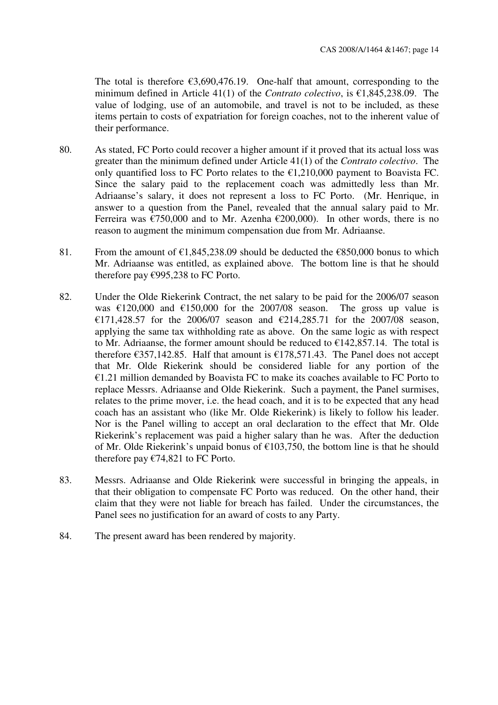The total is therefore  $\epsilon$ 3,690,476.19. One-half that amount, corresponding to the minimum defined in Article 41(1) of the *Contrato colectivo*, is €1,845,238.09. The value of lodging, use of an automobile, and travel is not to be included, as these items pertain to costs of expatriation for foreign coaches, not to the inherent value of their performance.

- 80. As stated, FC Porto could recover a higher amount if it proved that its actual loss was greater than the minimum defined under Article 41(1) of the *Contrato colectivo*. The only quantified loss to FC Porto relates to the  $\epsilon$ 1,210,000 payment to Boavista FC. Since the salary paid to the replacement coach was admittedly less than Mr. Adriaanse's salary, it does not represent a loss to FC Porto. (Mr. Henrique, in answer to a question from the Panel, revealed that the annual salary paid to Mr. Ferreira was  $\epsilon$ 750,000 and to Mr. Azenha  $\epsilon$ 200,000). In other words, there is no reason to augment the minimum compensation due from Mr. Adriaanse.
- 81. From the amount of  $\epsilon$ 1,845,238.09 should be deducted the  $\epsilon$ 850,000 bonus to which Mr. Adriaanse was entitled, as explained above. The bottom line is that he should therefore pay  $\epsilon$ 995,238 to FC Porto.
- 82. Under the Olde Riekerink Contract, the net salary to be paid for the 2006/07 season was  $\text{\textsterling}120,000$  and  $\text{\textsterling}150,000$  for the 2007/08 season. The gross up value is €171,428.57 for the 2006/07 season and €214,285.71 for the 2007/08 season, applying the same tax withholding rate as above. On the same logic as with respect to Mr. Adriaanse, the former amount should be reduced to  $\epsilon$ 142,857.14. The total is therefore  $\epsilon$ 357,142.85. Half that amount is  $\epsilon$ 178,571.43. The Panel does not accept that Mr. Olde Riekerink should be considered liable for any portion of the  $E1.21$  million demanded by Boavista FC to make its coaches available to FC Porto to replace Messrs. Adriaanse and Olde Riekerink. Such a payment, the Panel surmises, relates to the prime mover, i.e. the head coach, and it is to be expected that any head coach has an assistant who (like Mr. Olde Riekerink) is likely to follow his leader. Nor is the Panel willing to accept an oral declaration to the effect that Mr. Olde Riekerink's replacement was paid a higher salary than he was. After the deduction of Mr. Olde Riekerink's unpaid bonus of €103,750, the bottom line is that he should therefore pay  $\epsilon$ 74,821 to FC Porto.
- 83. Messrs. Adriaanse and Olde Riekerink were successful in bringing the appeals, in that their obligation to compensate FC Porto was reduced. On the other hand, their claim that they were not liable for breach has failed. Under the circumstances, the Panel sees no justification for an award of costs to any Party.
- 84. The present award has been rendered by majority.